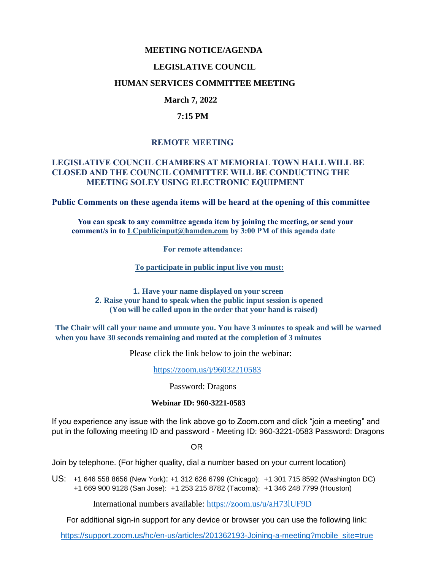### **MEETING NOTICE/AGENDA**

#### **LEGISLATIVE COUNCIL**

#### **HUMAN SERVICES COMMITTEE MEETING**

## **March 7, 2022**

#### **7:15 PM**

### **REMOTE MEETING**

### **LEGISLATIVE COUNCIL CHAMBERS AT MEMORIAL TOWN HALL WILL BE CLOSED AND THE COUNCIL COMMITTEE WILL BE CONDUCTING THE MEETING SOLEY USING ELECTRONIC EQUIPMENT**

**Public Comments on these agenda items will be heard at the opening of this committee** 

 **You can speak to any committee agenda item by joining the meeting, or send your comment/s in to [LCpublicinput@hamden.com](mailto:LCpublicinput@hamden.com) by 3:00 PM of this agenda date**

 **For remote attendance:**

**To participate in public input live you must:**

**1. Have your name displayed on your screen 2. Raise your hand to speak when the public input session is opened (You will be called upon in the order that your hand is raised)**

**The Chair will call your name and unmute you. You have 3 minutes to speak and will be warned when you have 30 seconds remaining and muted at the completion of 3 minutes**

Please click the link below to join the webinar:

<https://zoom.us/j/96032210583>

Password: Dragons

#### **Webinar ID: 960-3221-0583**

If you experience any issue with the link above go to Zoom.com and click "join a meeting" and put in the following meeting ID and password - Meeting ID: 960-3221-0583 Password: Dragons

OR

Join by telephone. (For higher quality, dial a number based on your current location)

US: [+1 646 558 8656 \(New York\)](tel:+16465588656): [+1 312 626 6799 \(Chicago\):](tel:+13126266799) [+1 301 715 8592 \(Washington DC\)](tel:+13017158592) +1 669 900 9128 (San Jose): [+1 253 215 8782 \(Tacoma\):](tel:+12532158782) [+1 346 248 7799 \(Houston\)](tel:+13462487799)

International numbers available:<https://zoom.us/u/aH73lUF9D>

For additional sign-in support for any device or browser you can use the following link:

[https://support.zoom.us/hc/en-us/articles/201362193-Joining-a-meeting?mobile\\_site=true](https://support.zoom.us/hc/en-us/articles/201362193-Joining-a-meeting?mobile_site=true)